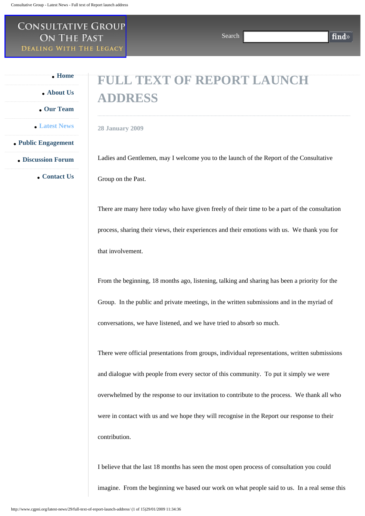## Consultative Group ON THE PAST **DEALING WITH THE LEGACY**

Search

find»

 **[Home](http://www.cgpni.org/)**

 **[About Us](http://www.cgpni.org/about-us/)**

 **[Our Team](http://www.cgpni.org/our-team/)**

 **[Latest News](http://www.cgpni.org/latest-news/)**

 **[Public Engagement](http://www.cgpni.org/public-engagement/)**

 **[Discussion Forum](http://www.cgpni.org/your-views/)**

 **[Contact Us](http://www.cgpni.org/contact-us/)**

## **FULL TEXT OF REPORT LAUNCH ADDRESS**

**28 January 2009**

Ladies and Gentlemen, may I welcome you to the launch of the Report of the Consultative Group on the Past.

There are many here today who have given freely of their time to be a part of the consultation process, sharing their views, their experiences and their emotions with us. We thank you for that involvement.

From the beginning, 18 months ago, listening, talking and sharing has been a priority for the Group. In the public and private meetings, in the written submissions and in the myriad of conversations, we have listened, and we have tried to absorb so much.

There were official presentations from groups, individual representations, written submissions and dialogue with people from every sector of this community. To put it simply we were overwhelmed by the response to our invitation to contribute to the process. We thank all who were in contact with us and we hope they will recognise in the Report our response to their contribution.

I believe that the last 18 months has seen the most open process of consultation you could imagine. From the beginning we based our work on what people said to us. In a real sense this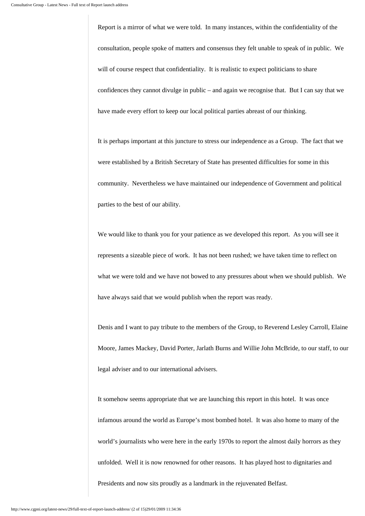Report is a mirror of what we were told. In many instances, within the confidentiality of the consultation, people spoke of matters and consensus they felt unable to speak of in public. We will of course respect that confidentiality. It is realistic to expect politicians to share confidences they cannot divulge in public – and again we recognise that. But I can say that we have made every effort to keep our local political parties abreast of our thinking.

It is perhaps important at this juncture to stress our independence as a Group. The fact that we were established by a British Secretary of State has presented difficulties for some in this community. Nevertheless we have maintained our independence of Government and political parties to the best of our ability.

We would like to thank you for your patience as we developed this report. As you will see it represents a sizeable piece of work. It has not been rushed; we have taken time to reflect on what we were told and we have not bowed to any pressures about when we should publish. We have always said that we would publish when the report was ready.

Denis and I want to pay tribute to the members of the Group, to Reverend Lesley Carroll, Elaine Moore, James Mackey, David Porter, Jarlath Burns and Willie John McBride, to our staff, to our legal adviser and to our international advisers.

It somehow seems appropriate that we are launching this report in this hotel. It was once infamous around the world as Europe's most bombed hotel. It was also home to many of the world's journalists who were here in the early 1970s to report the almost daily horrors as they unfolded. Well it is now renowned for other reasons. It has played host to dignitaries and Presidents and now sits proudly as a landmark in the rejuvenated Belfast.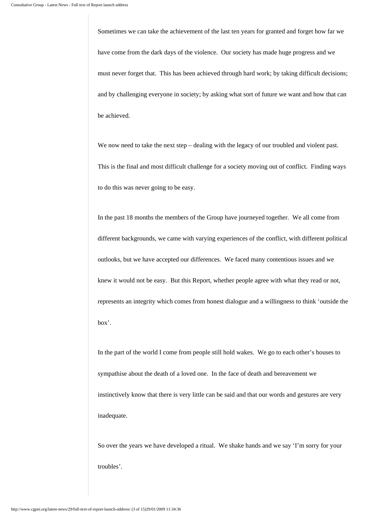Sometimes we can take the achievement of the last ten years for granted and forget how far we have come from the dark days of the violence. Our society has made huge progress and we must never forget that. This has been achieved through hard work; by taking difficult decisions; and by challenging everyone in society; by asking what sort of future we want and how that can be achieved.

We now need to take the next step – dealing with the legacy of our troubled and violent past. This is the final and most difficult challenge for a society moving out of conflict. Finding ways to do this was never going to be easy.

In the past 18 months the members of the Group have journeyed together. We all come from different backgrounds, we came with varying experiences of the conflict, with different political outlooks, but we have accepted our differences. We faced many contentious issues and we knew it would not be easy. But this Report, whether people agree with what they read or not, represents an integrity which comes from honest dialogue and a willingness to think 'outside the box'.

In the part of the world I come from people still hold wakes. We go to each other's houses to sympathise about the death of a loved one. In the face of death and bereavement we instinctively know that there is very little can be said and that our words and gestures are very inadequate.

So over the years we have developed a ritual. We shake hands and we say 'I'm sorry for your troubles'.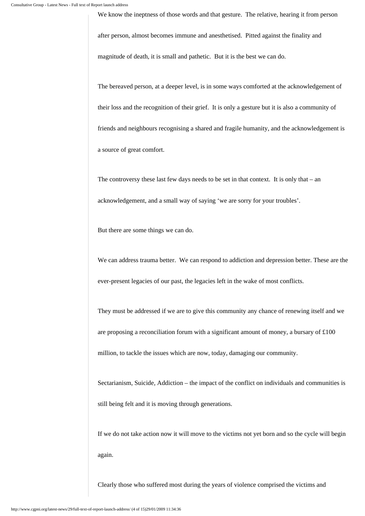We know the ineptness of those words and that gesture. The relative, hearing it from person

after person, almost becomes immune and anesthetised. Pitted against the finality and

magnitude of death, it is small and pathetic. But it is the best we can do.

The bereaved person, at a deeper level, is in some ways comforted at the acknowledgement of their loss and the recognition of their grief. It is only a gesture but it is also a community of friends and neighbours recognising a shared and fragile humanity, and the acknowledgement is a source of great comfort.

The controversy these last few days needs to be set in that context. It is only that – an acknowledgement, and a small way of saying 'we are sorry for your troubles'.

But there are some things we can do.

We can address trauma better. We can respond to addiction and depression better. These are the ever-present legacies of our past, the legacies left in the wake of most conflicts.

They must be addressed if we are to give this community any chance of renewing itself and we are proposing a reconciliation forum with a significant amount of money, a bursary of £100 million, to tackle the issues which are now, today, damaging our community.

Sectarianism, Suicide, Addiction – the impact of the conflict on individuals and communities is still being felt and it is moving through generations.

If we do not take action now it will move to the victims not yet born and so the cycle will begin again.

Clearly those who suffered most during the years of violence comprised the victims and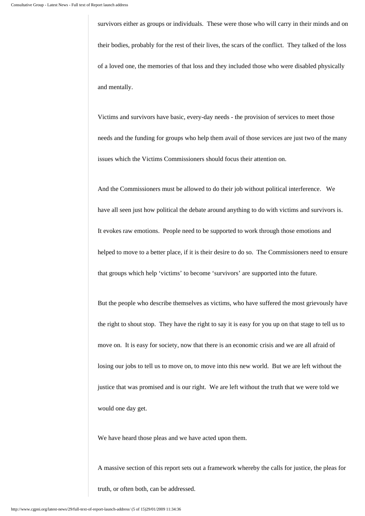survivors either as groups or individuals. These were those who will carry in their minds and on their bodies, probably for the rest of their lives, the scars of the conflict. They talked of the loss of a loved one, the memories of that loss and they included those who were disabled physically and mentally.

Victims and survivors have basic, every-day needs - the provision of services to meet those needs and the funding for groups who help them avail of those services are just two of the many issues which the Victims Commissioners should focus their attention on.

And the Commissioners must be allowed to do their job without political interference. We have all seen just how political the debate around anything to do with victims and survivors is. It evokes raw emotions. People need to be supported to work through those emotions and helped to move to a better place, if it is their desire to do so. The Commissioners need to ensure that groups which help 'victims' to become 'survivors' are supported into the future.

But the people who describe themselves as victims, who have suffered the most grievously have the right to shout stop. They have the right to say it is easy for you up on that stage to tell us to move on. It is easy for society, now that there is an economic crisis and we are all afraid of losing our jobs to tell us to move on, to move into this new world. But we are left without the justice that was promised and is our right. We are left without the truth that we were told we would one day get.

We have heard those pleas and we have acted upon them.

A massive section of this report sets out a framework whereby the calls for justice, the pleas for truth, or often both, can be addressed.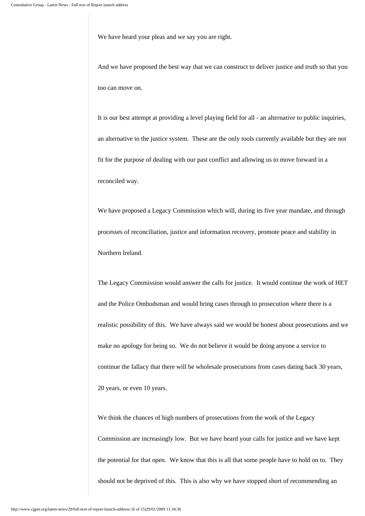We have heard your pleas and we say you are right.

And we have proposed the best way that we can construct to deliver justice and truth so that you too can move on.

It is our best attempt at providing a level playing field for all - an alternative to public inquiries, an alternative to the justice system. These are the only tools currently available but they are not fit for the purpose of dealing with our past conflict and allowing us to move forward in a reconciled way.

We have proposed a Legacy Commission which will, during its five year mandate, and through processes of reconciliation, justice and information recovery, promote peace and stability in Northern Ireland.

The Legacy Commission would answer the calls for justice. It would continue the work of HET and the Police Ombudsman and would bring cases through to prosecution where there is a realistic possibility of this. We have always said we would be honest about prosecutions and we make no apology for being so. We do not believe it would be doing anyone a service to continue the fallacy that there will be wholesale prosecutions from cases dating back 30 years, 20 years, or even 10 years.

We think the chances of high numbers of prosecutions from the work of the Legacy Commission are increasingly low. But we have heard your calls for justice and we have kept the potential for that open. We know that this is all that some people have to hold on to. They should not be deprived of this. This is also why we have stopped short of recommending an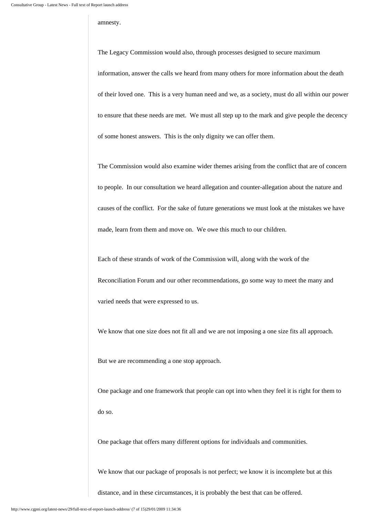## amnesty.

The Legacy Commission would also, through processes designed to secure maximum information, answer the calls we heard from many others for more information about the death of their loved one. This is a very human need and we, as a society, must do all within our power to ensure that these needs are met. We must all step up to the mark and give people the decency of some honest answers. This is the only dignity we can offer them.

The Commission would also examine wider themes arising from the conflict that are of concern to people. In our consultation we heard allegation and counter-allegation about the nature and causes of the conflict. For the sake of future generations we must look at the mistakes we have made, learn from them and move on. We owe this much to our children.

Each of these strands of work of the Commission will, along with the work of the Reconciliation Forum and our other recommendations, go some way to meet the many and varied needs that were expressed to us.

We know that one size does not fit all and we are not imposing a one size fits all approach.

But we are recommending a one stop approach.

One package and one framework that people can opt into when they feel it is right for them to do so.

One package that offers many different options for individuals and communities.

We know that our package of proposals is not perfect; we know it is incomplete but at this

distance, and in these circumstances, it is probably the best that can be offered.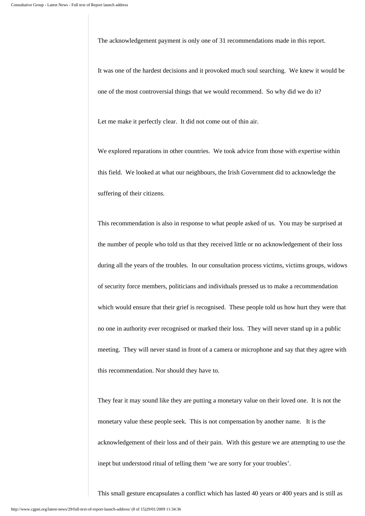The acknowledgement payment is only one of 31 recommendations made in this report.

It was one of the hardest decisions and it provoked much soul searching. We knew it would be one of the most controversial things that we would recommend. So why did we do it?

Let me make it perfectly clear. It did not come out of thin air.

We explored reparations in other countries. We took advice from those with expertise within this field. We looked at what our neighbours, the Irish Government did to acknowledge the suffering of their citizens.

This recommendation is also in response to what people asked of us. You may be surprised at the number of people who told us that they received little or no acknowledgement of their loss during all the years of the troubles. In our consultation process victims, victims groups, widows of security force members, politicians and individuals pressed us to make a recommendation which would ensure that their grief is recognised. These people told us how hurt they were that no one in authority ever recognised or marked their loss. They will never stand up in a public meeting. They will never stand in front of a camera or microphone and say that they agree with this recommendation. Nor should they have to.

They fear it may sound like they are putting a monetary value on their loved one. It is not the monetary value these people seek. This is not compensation by another name. It is the acknowledgement of their loss and of their pain. With this gesture we are attempting to use the inept but understood ritual of telling them 'we are sorry for your troubles'.

This small gesture encapsulates a conflict which has lasted 40 years or 400 years and is still as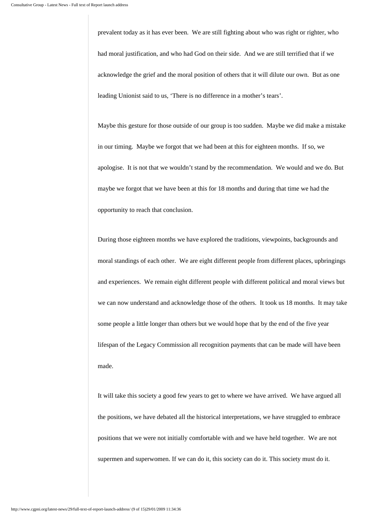prevalent today as it has ever been. We are still fighting about who was right or righter, who had moral justification, and who had God on their side. And we are still terrified that if we acknowledge the grief and the moral position of others that it will dilute our own. But as one leading Unionist said to us, 'There is no difference in a mother's tears'.

Maybe this gesture for those outside of our group is too sudden. Maybe we did make a mistake in our timing. Maybe we forgot that we had been at this for eighteen months. If so, we apologise. It is not that we wouldn't stand by the recommendation. We would and we do. But maybe we forgot that we have been at this for 18 months and during that time we had the opportunity to reach that conclusion.

During those eighteen months we have explored the traditions, viewpoints, backgrounds and moral standings of each other. We are eight different people from different places, upbringings and experiences. We remain eight different people with different political and moral views but we can now understand and acknowledge those of the others. It took us 18 months. It may take some people a little longer than others but we would hope that by the end of the five year lifespan of the Legacy Commission all recognition payments that can be made will have been made.

It will take this society a good few years to get to where we have arrived. We have argued all the positions, we have debated all the historical interpretations, we have struggled to embrace positions that we were not initially comfortable with and we have held together. We are not supermen and superwomen. If we can do it, this society can do it. This society must do it.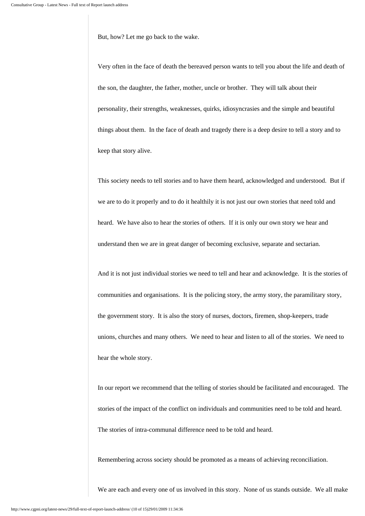But, how? Let me go back to the wake.

Very often in the face of death the bereaved person wants to tell you about the life and death of the son, the daughter, the father, mother, uncle or brother. They will talk about their personality, their strengths, weaknesses, quirks, idiosyncrasies and the simple and beautiful things about them. In the face of death and tragedy there is a deep desire to tell a story and to keep that story alive.

This society needs to tell stories and to have them heard, acknowledged and understood. But if we are to do it properly and to do it healthily it is not just our own stories that need told and heard. We have also to hear the stories of others. If it is only our own story we hear and understand then we are in great danger of becoming exclusive, separate and sectarian.

And it is not just individual stories we need to tell and hear and acknowledge. It is the stories of communities and organisations. It is the policing story, the army story, the paramilitary story, the government story. It is also the story of nurses, doctors, firemen, shop-keepers, trade unions, churches and many others. We need to hear and listen to all of the stories. We need to hear the whole story.

In our report we recommend that the telling of stories should be facilitated and encouraged. The stories of the impact of the conflict on individuals and communities need to be told and heard. The stories of intra-communal difference need to be told and heard.

Remembering across society should be promoted as a means of achieving reconciliation.

We are each and every one of us involved in this story. None of us stands outside. We all make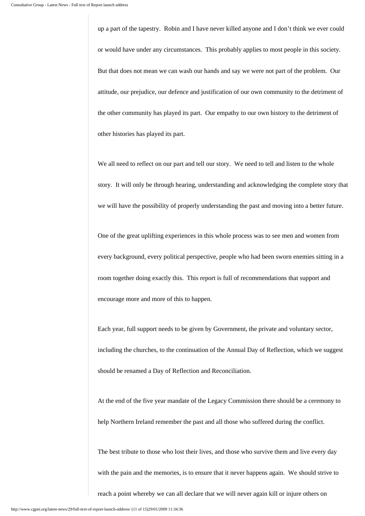up a part of the tapestry. Robin and I have never killed anyone and I don't think we ever could or would have under any circumstances. This probably applies to most people in this society. But that does not mean we can wash our hands and say we were not part of the problem. Our attitude, our prejudice, our defence and justification of our own community to the detriment of the other community has played its part. Our empathy to our own history to the detriment of other histories has played its part.

We all need to reflect on our part and tell our story. We need to tell and listen to the whole story. It will only be through hearing, understanding and acknowledging the complete story that we will have the possibility of properly understanding the past and moving into a better future.

One of the great uplifting experiences in this whole process was to see men and women from every background, every political perspective, people who had been sworn enemies sitting in a room together doing exactly this. This report is full of recommendations that support and encourage more and more of this to happen.

Each year, full support needs to be given by Government, the private and voluntary sector, including the churches, to the continuation of the Annual Day of Reflection, which we suggest should be renamed a Day of Reflection and Reconciliation.

At the end of the five year mandate of the Legacy Commission there should be a ceremony to help Northern Ireland remember the past and all those who suffered during the conflict.

The best tribute to those who lost their lives, and those who survive them and live every day with the pain and the memories, is to ensure that it never happens again. We should strive to reach a point whereby we can all declare that we will never again kill or injure others on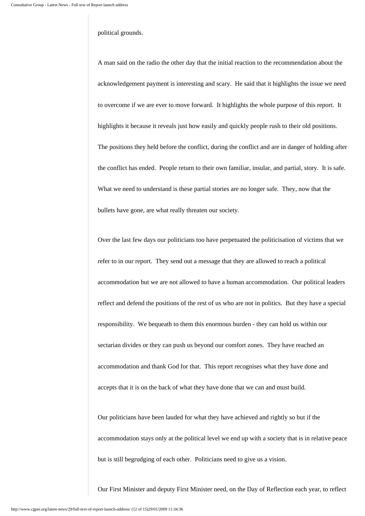## political grounds.

A man said on the radio the other day that the initial reaction to the recommendation about the acknowledgement payment is interesting and scary. He said that it highlights the issue we need to overcome if we are ever to move forward. It highlights the whole purpose of this report. It highlights it because it reveals just how easily and quickly people rush to their old positions. The positions they held before the conflict, during the conflict and are in danger of holding after the conflict has ended. People return to their own familiar, insular, and partial, story. It is safe. What we need to understand is these partial stories are no longer safe. They, now that the bullets have gone, are what really threaten our society.

Over the last few days our politicians too have perpetuated the politicisation of victims that we refer to in our report. They send out a message that they are allowed to reach a political accommodation but we are not allowed to have a human accommodation. Our political leaders reflect and defend the positions of the rest of us who are not in politics. But they have a special responsibility. We bequeath to them this enormous burden - they can hold us within our sectarian divides or they can push us beyond our comfort zones. They have reached an accommodation and thank God for that. This report recognises what they have done and accepts that it is on the back of what they have done that we can and must build.

Our politicians have been lauded for what they have achieved and rightly so but if the accommodation stays only at the political level we end up with a society that is in relative peace but is still begrudging of each other. Politicians need to give us a vision.

Our First Minister and deputy First Minister need, on the Day of Reflection each year, to reflect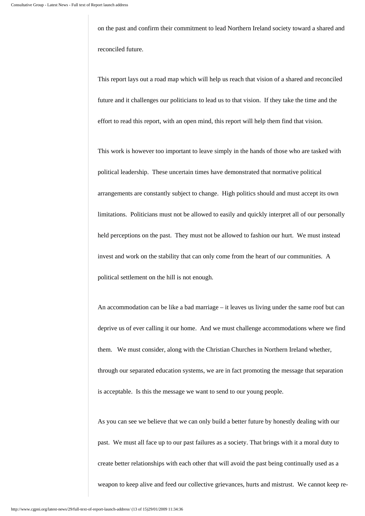on the past and confirm their commitment to lead Northern Ireland society toward a shared and reconciled future.

This report lays out a road map which will help us reach that vision of a shared and reconciled future and it challenges our politicians to lead us to that vision. If they take the time and the effort to read this report, with an open mind, this report will help them find that vision.

This work is however too important to leave simply in the hands of those who are tasked with political leadership. These uncertain times have demonstrated that normative political arrangements are constantly subject to change. High politics should and must accept its own limitations. Politicians must not be allowed to easily and quickly interpret all of our personally held perceptions on the past. They must not be allowed to fashion our hurt. We must instead invest and work on the stability that can only come from the heart of our communities. A political settlement on the hill is not enough.

An accommodation can be like a bad marriage – it leaves us living under the same roof but can deprive us of ever calling it our home. And we must challenge accommodations where we find them. We must consider, along with the Christian Churches in Northern Ireland whether, through our separated education systems, we are in fact promoting the message that separation is acceptable. Is this the message we want to send to our young people.

As you can see we believe that we can only build a better future by honestly dealing with our past. We must all face up to our past failures as a society. That brings with it a moral duty to create better relationships with each other that will avoid the past being continually used as a weapon to keep alive and feed our collective grievances, hurts and mistrust. We cannot keep re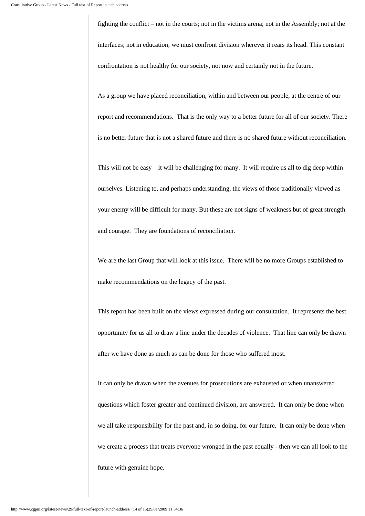fighting the conflict – not in the courts; not in the victims arena; not in the Assembly; not at the interfaces; not in education; we must confront division wherever it rears its head. This constant confrontation is not healthy for our society, not now and certainly not in the future.

As a group we have placed reconciliation, within and between our people, at the centre of our report and recommendations. That is the only way to a better future for all of our society. There is no better future that is not a shared future and there is no shared future without reconciliation.

This will not be easy – it will be challenging for many. It will require us all to dig deep within ourselves. Listening to, and perhaps understanding, the views of those traditionally viewed as your enemy will be difficult for many. But these are not signs of weakness but of great strength and courage. They are foundations of reconciliation.

We are the last Group that will look at this issue. There will be no more Groups established to make recommendations on the legacy of the past.

This report has been built on the views expressed during our consultation. It represents the best opportunity for us all to draw a line under the decades of violence. That line can only be drawn after we have done as much as can be done for those who suffered most.

It can only be drawn when the avenues for prosecutions are exhausted or when unanswered questions which foster greater and continued division, are answered. It can only be done when we all take responsibility for the past and, in so doing, for our future. It can only be done when we create a process that treats everyone wronged in the past equally - then we can all look to the future with genuine hope.